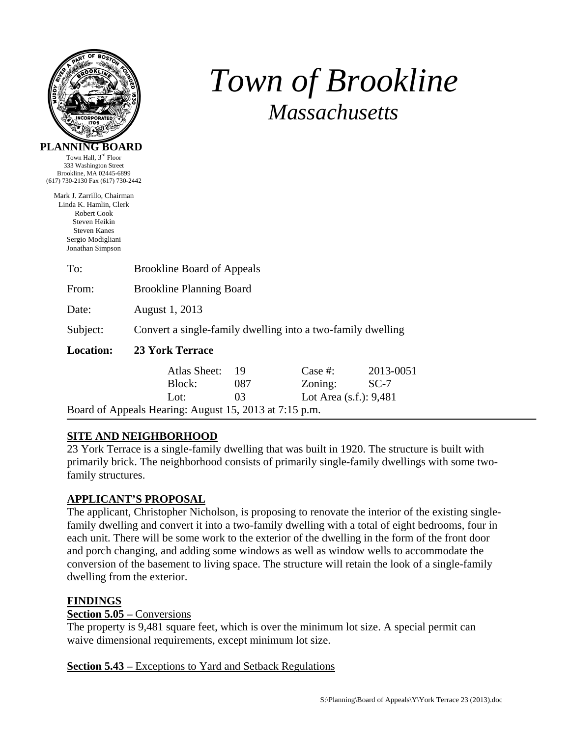

Town Hall, 3rd Floor

# *Town of Brookline Massachusetts*

| <b>Brookline Planning Board</b> |                                                                                                                       |                                         |                                                                                                                                  |  |
|---------------------------------|-----------------------------------------------------------------------------------------------------------------------|-----------------------------------------|----------------------------------------------------------------------------------------------------------------------------------|--|
| August 1, 2013                  |                                                                                                                       |                                         |                                                                                                                                  |  |
|                                 |                                                                                                                       |                                         |                                                                                                                                  |  |
| <b>23 York Terrace</b>          |                                                                                                                       |                                         |                                                                                                                                  |  |
| Atlas Sheet:                    | 19                                                                                                                    | Case $#$ :                              | 2013-0051                                                                                                                        |  |
| Block:                          | 087                                                                                                                   |                                         | $SC-7$                                                                                                                           |  |
| Lot:                            |                                                                                                                       | Lot Area $(s.f.)$ : 9,481               |                                                                                                                                  |  |
|                                 |                                                                                                                       |                                         |                                                                                                                                  |  |
|                                 | Brookline, MA 02445-6899<br>(617) 730-2130 Fax (617) 730-2442<br>Mark J. Zarrillo, Chairman<br>Linda K. Hamlin, Clerk | <b>Brookline Board of Appeals</b><br>03 | Convert a single-family dwelling into a two-family dwelling<br>Zoning:<br>Board of Appeals Hearing: August 15, 2013 at 7:15 p.m. |  |

## **SITE AND NEIGHBORHOOD**

23 York Terrace is a single-family dwelling that was built in 1920. The structure is built with primarily brick. The neighborhood consists of primarily single-family dwellings with some twofamily structures.

## **APPLICANT'S PROPOSAL**

The applicant, Christopher Nicholson, is proposing to renovate the interior of the existing singlefamily dwelling and convert it into a two-family dwelling with a total of eight bedrooms, four in each unit. There will be some work to the exterior of the dwelling in the form of the front door and porch changing, and adding some windows as well as window wells to accommodate the conversion of the basement to living space. The structure will retain the look of a single-family dwelling from the exterior.

## **FINDINGS**

## **Section 5.05 –** Conversions

The property is 9,481 square feet, which is over the minimum lot size. A special permit can waive dimensional requirements, except minimum lot size.

#### **Section 5.43 –** Exceptions to Yard and Setback Regulations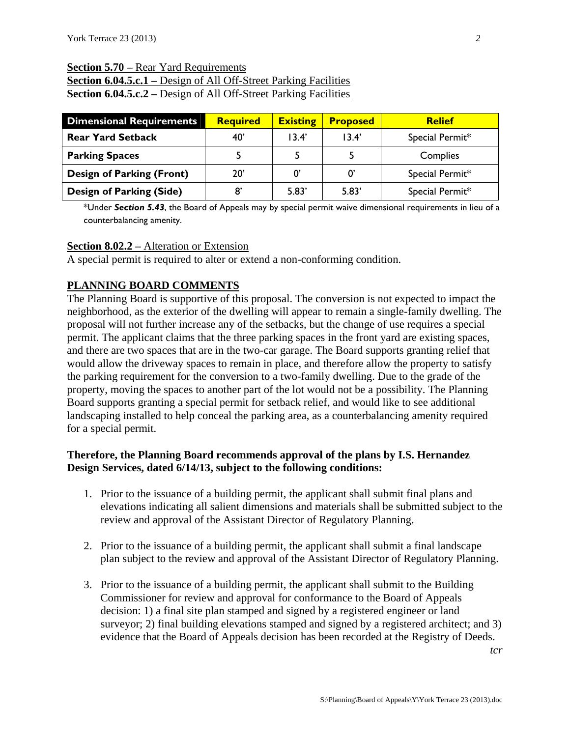#### **Section 5.70 –** Rear Yard Requirements

**<u>Section 6.04.5.c.1 – Design of All Off-</u>Street Parking Facilities Section 6.04.5.c.2** – Design of All Off-Street Parking Facilities

| <b>Dimensional Requirements</b>  | <b>Required</b> | <b>Existing</b>   | <b>Proposed</b> | <b>Relief</b>   |
|----------------------------------|-----------------|-------------------|-----------------|-----------------|
| <b>Rear Yard Setback</b>         | 40'             | 13.4'             | 13.4'           | Special Permit* |
| <b>Parking Spaces</b>            |                 |                   |                 | Complies        |
| <b>Design of Parking (Front)</b> | 20'             | $\Omega^{\prime}$ | O'              | Special Permit* |
| <b>Design of Parking (Side)</b>  | 8'              | 5.83'             | 5.83'           | Special Permit* |

\*Under *Section 5.43*, the Board of Appeals may by special permit waive dimensional requirements in lieu of a counterbalancing amenity.

#### **Section 8.02.2 –** Alteration or Extension

A special permit is required to alter or extend a non-conforming condition.

## **PLANNING BOARD COMMENTS**

The Planning Board is supportive of this proposal. The conversion is not expected to impact the neighborhood, as the exterior of the dwelling will appear to remain a single-family dwelling. The proposal will not further increase any of the setbacks, but the change of use requires a special permit. The applicant claims that the three parking spaces in the front yard are existing spaces, and there are two spaces that are in the two-car garage. The Board supports granting relief that would allow the driveway spaces to remain in place, and therefore allow the property to satisfy the parking requirement for the conversion to a two-family dwelling. Due to the grade of the property, moving the spaces to another part of the lot would not be a possibility. The Planning Board supports granting a special permit for setback relief, and would like to see additional landscaping installed to help conceal the parking area, as a counterbalancing amenity required for a special permit.

### **Therefore, the Planning Board recommends approval of the plans by I.S. Hernandez Design Services, dated 6/14/13, subject to the following conditions:**

- 1. Prior to the issuance of a building permit, the applicant shall submit final plans and elevations indicating all salient dimensions and materials shall be submitted subject to the review and approval of the Assistant Director of Regulatory Planning.
- 2. Prior to the issuance of a building permit, the applicant shall submit a final landscape plan subject to the review and approval of the Assistant Director of Regulatory Planning.
- 3. Prior to the issuance of a building permit, the applicant shall submit to the Building Commissioner for review and approval for conformance to the Board of Appeals decision: 1) a final site plan stamped and signed by a registered engineer or land surveyor; 2) final building elevations stamped and signed by a registered architect; and 3) evidence that the Board of Appeals decision has been recorded at the Registry of Deeds.

*tcr*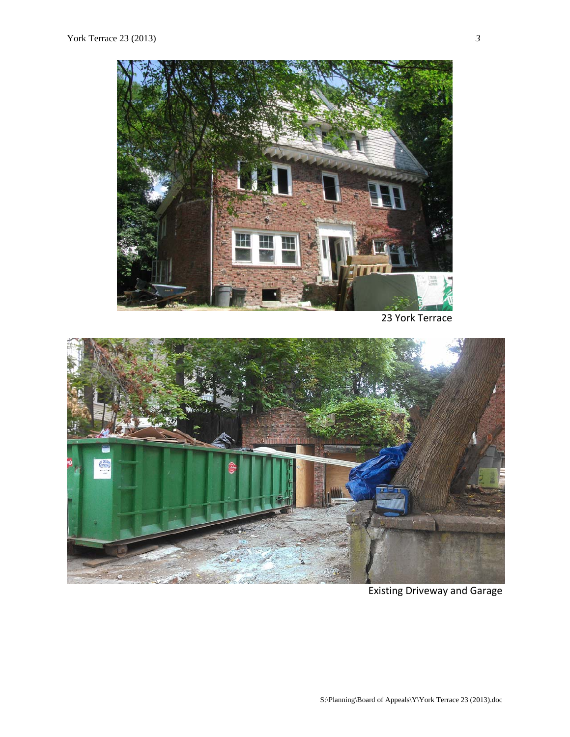

23 York Terrace



Existing Driveway and Garage